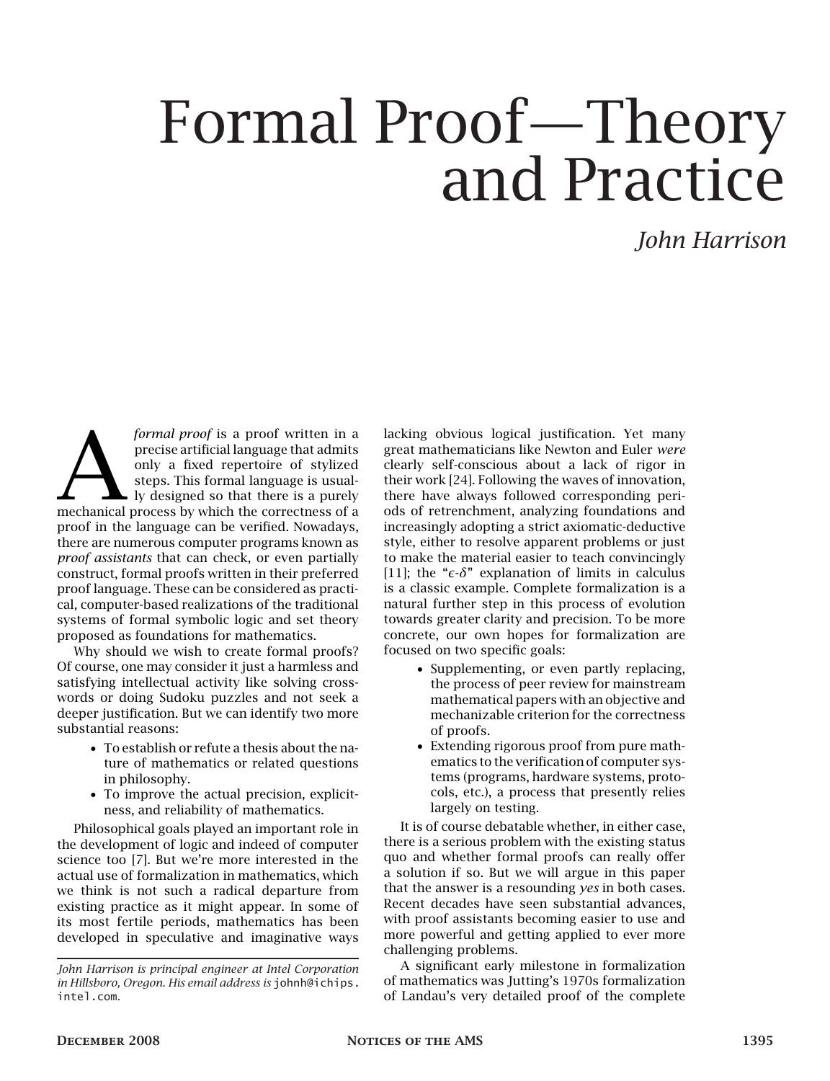# Formal Proof—Theory and Practice

# *John Harrison*

formal proof is a proof written in a<br>precise artificial language that admits<br>only a fixed repertoire of stylized<br>steps. This formal language is usual-<br>ly designed so that there is a purely<br>mechanical process by which the c *formal proof* is a proof written in a precise artificial language that admits only a fixed repertoire of stylized steps. This formal language is usually designed so that there is a purely proof in the language can be verified. Nowadays, there are numerous computer programs known as *proof assistants* that can check, or even partially construct, formal proofs written in their preferred proof language. These can be considered as practical, computer-based realizations of the traditional systems of formal symbolic logic and set theory proposed as foundations for mathematics.

Why should we wish to create formal proofs? Of course, one may consider it just a harmless and satisfying intellectual activity like solving crosswords or doing Sudoku puzzles and not seek a deeper justification. But we can identify two more substantial reasons:

- To establish or refute a thesis about the nature of mathematics or related questions in philosophy.
- To improve the actual precision, explicitness, and reliability of mathematics.

Philosophical goals played an important role in the development of logic and indeed of computer science too [7]. But we're more interested in the actual use of formalization in mathematics, which we think is not such a radical departure from existing practice as it might appear. In some of its most fertile periods, mathematics has been developed in speculative and imaginative ways lacking obvious logical justification. Yet many great mathematicians like Newton and Euler *were* clearly self-conscious about a lack of rigor in their work [24]. Following the waves of innovation, there have always followed corresponding periods of retrenchment, analyzing foundations and increasingly adopting a strict axiomatic-deductive style, either to resolve apparent problems or just to make the material easier to teach convincingly [11]; the " $\epsilon$ - $\delta$ " explanation of limits in calculus is a classic example. Complete formalization is a natural further step in this process of evolution towards greater clarity and precision. To be more concrete, our own hopes for formalization are focused on two specific goals:

- Supplementing, or even partly replacing, the process of peer review for mainstream mathematical papers with an objective and mechanizable criterion for the correctness of proofs.
- Extending rigorous proof from pure mathematics to the verification of computer systems (programs, hardware systems, protocols, etc.), a process that presently relies largely on testing.

It is of course debatable whether, in either case, there is a serious problem with the existing status quo and whether formal proofs can really offer a solution if so. But we will argue in this paper that the answer is a resounding *yes* in both cases. Recent decades have seen substantial advances, with proof assistants becoming easier to use and more powerful and getting applied to ever more challenging problems.

A significant early milestone in formalization of mathematics was Jutting's 1970s formalization of Landau's very detailed proof of the complete

*John Harrison is principal engineer at Intel Corporation in Hillsboro, Oregon. His email address is* johnh@ichips. intel.com*.*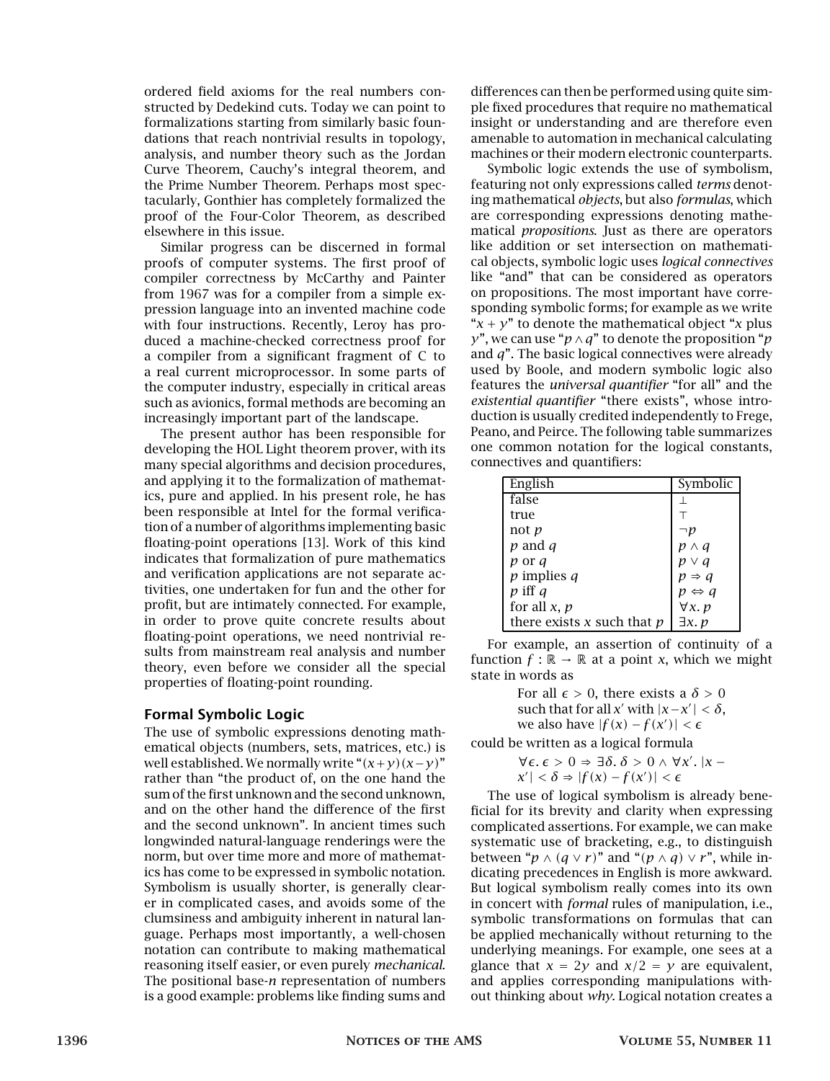ordered field axioms for the real numbers constructed by Dedekind cuts. Today we can point to formalizations starting from similarly basic foundations that reach nontrivial results in topology, analysis, and number theory such as the Jordan Curve Theorem, Cauchy's integral theorem, and the Prime Number Theorem. Perhaps most spectacularly, Gonthier has completely formalized the proof of the Four-Color Theorem, as described elsewhere in this issue.

Similar progress can be discerned in formal proofs of computer systems. The first proof of compiler correctness by McCarthy and Painter from 1967 was for a compiler from a simple expression language into an invented machine code with four instructions. Recently, Leroy has produced a machine-checked correctness proof for a compiler from a significant fragment of C to a real current microprocessor. In some parts of the computer industry, especially in critical areas such as avionics, formal methods are becoming an increasingly important part of the landscape.

The present author has been responsible for developing the HOL Light theorem prover, with its many special algorithms and decision procedures, and applying it to the formalization of mathematics, pure and applied. In his present role, he has been responsible at Intel for the formal verification of a number of algorithms implementing basic floating-point operations [13]. Work of this kind indicates that formalization of pure mathematics and verification applications are not separate activities, one undertaken for fun and the other for profit, but are intimately connected. For example, in order to prove quite concrete results about floating-point operations, we need nontrivial results from mainstream real analysis and number theory, even before we consider all the special properties of floating-point rounding.

#### Formal Symbolic Logic

The use of symbolic expressions denoting mathematical objects (numbers, sets, matrices, etc.) is well established. We normally write " $(x+y)(x-y)$ " rather than "the product of, on the one hand the sum of the first unknown and the second unknown, and on the other hand the difference of the first and the second unknown". In ancient times such longwinded natural-language renderings were the norm, but over time more and more of mathematics has come to be expressed in symbolic notation. Symbolism is usually shorter, is generally clearer in complicated cases, and avoids some of the clumsiness and ambiguity inherent in natural language. Perhaps most importantly, a well-chosen notation can contribute to making mathematical reasoning itself easier, or even purely *mechanical*. The positional base-*n* representation of numbers is a good example: problems like finding sums and

differences can then be performed using quite simple fixed procedures that require no mathematical insight or understanding and are therefore even amenable to automation in mechanical calculating machines or their modern electronic counterparts.

Symbolic logic extends the use of symbolism, featuring not only expressions called *terms* denoting mathematical *objects*, but also *formulas*, which are corresponding expressions denoting mathematical *propositions*. Just as there are operators like addition or set intersection on mathematical objects, symbolic logic uses *logical connectives* like "and" that can be considered as operators on propositions. The most important have corresponding symbolic forms; for example as we write " $x + y$ " to denote the mathematical object "x plus" *y*", we can use "*p*∧*q*" to denote the proposition "*p* and *q*". The basic logical connectives were already used by Boole, and modern symbolic logic also features the *universal quantifier* "for all" and the *existential quantifier* "there exists", whose introduction is usually credited independently to Frege, Peano, and Peirce. The following table summarizes one common notation for the logical constants, connectives and quantifiers:

| English                      | Symbolic              |
|------------------------------|-----------------------|
| false                        |                       |
| true                         |                       |
| not $p$                      |                       |
| $p$ and $q$                  | $p \wedge q$          |
| p or q                       | $p \vee q$            |
| $p$ implies $q$              | $p \Rightarrow q$     |
| $p$ iff $q$                  | $p \Leftrightarrow q$ |
| for all $x, p$               | $\forall x. p$        |
| there exists x such that $p$ | $\exists x. p$        |

For example, an assertion of continuity of a function  $f : \mathbb{R} \to \mathbb{R}$  at a point *x*, which we might state in words as

> For all  $\epsilon > 0$ , there exists a  $\delta > 0$ such that for all *x'* with  $|x-x'| < \delta$ , we also have  $|f(x) - f(x')| < \epsilon$

could be written as a logical formula

 $\forall \epsilon$ .  $\epsilon > 0$  ⇒ ∃δ. δ > 0 ∧  $\forall x'$ . |*x* −  $|X'| < \delta \Rightarrow |f(x) - f(x')| < \epsilon$ 

The use of logical symbolism is already beneficial for its brevity and clarity when expressing complicated assertions. For example, we can make systematic use of bracketing, e.g., to distinguish between " $p \wedge (q \vee r)$ " and " $(p \wedge q) \vee r$ ", while indicating precedences in English is more awkward. But logical symbolism really comes into its own in concert with *formal* rules of manipulation, i.e., symbolic transformations on formulas that can be applied mechanically without returning to the underlying meanings. For example, one sees at a glance that  $x = 2y$  and  $x/2 = y$  are equivalent, and applies corresponding manipulations without thinking about *why*. Logical notation creates a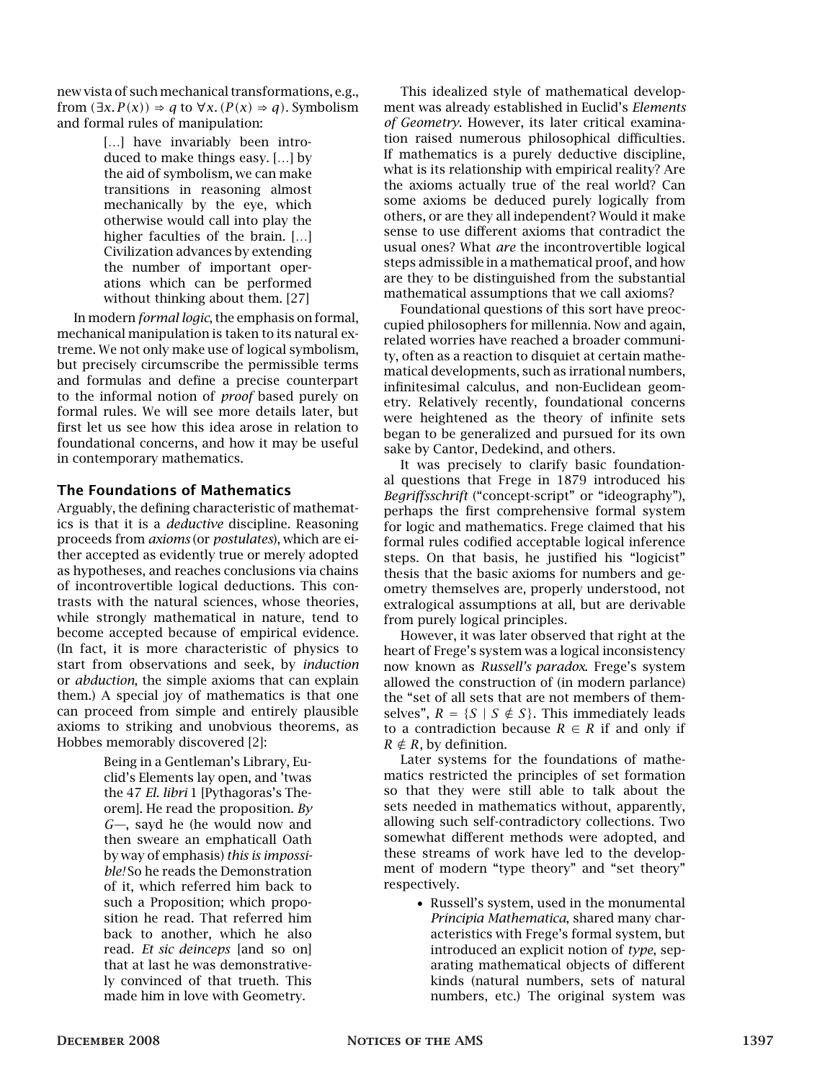new vista of such mechanical transformations, e.g., from  $(\exists x. P(x)) \Rightarrow q$  to  $\forall x. (P(x) \Rightarrow q)$ . Symbolism and formal rules of manipulation:

> [...] have invariably been introduced to make things easy. […] by the aid of symbolism, we can make transitions in reasoning almost mechanically by the eye, which otherwise would call into play the higher faculties of the brain. […] Civilization advances by extending the number of important operations which can be performed without thinking about them. [27]

In modern *formal logic*, the emphasis on formal, mechanical manipulation is taken to its natural extreme. We not only make use of logical symbolism, but precisely circumscribe the permissible terms and formulas and define a precise counterpart to the informal notion of *proof* based purely on formal rules. We will see more details later, but first let us see how this idea arose in relation to foundational concerns, and how it may be useful in contemporary mathematics.

# The Foundations of Mathematics

Arguably, the defining characteristic of mathematics is that it is a *deductive* discipline. Reasoning proceeds from *axioms* (or *postulates*), which are either accepted as evidently true or merely adopted as hypotheses, and reaches conclusions via chains of incontrovertible logical deductions. This contrasts with the natural sciences, whose theories, while strongly mathematical in nature, tend to become accepted because of empirical evidence. (In fact, it is more characteristic of physics to start from observations and seek, by *induction* or *abduction*, the simple axioms that can explain them.) A special joy of mathematics is that one can proceed from simple and entirely plausible axioms to striking and unobvious theorems, as Hobbes memorably discovered [2]:

> Being in a Gentleman's Library, Euclid's Elements lay open, and 'twas the 47 *El. libri* 1 [Pythagoras's Theorem]. He read the proposition. *By G—*, sayd he (he would now and then sweare an emphaticall Oath by way of emphasis) *this is impossible!* So he reads the Demonstration of it, which referred him back to such a Proposition; which proposition he read. That referred him back to another, which he also read. *Et sic deinceps* [and so on] that at last he was demonstratively convinced of that trueth. This made him in love with Geometry.

This idealized style of mathematical development was already established in Euclid's *Elements of Geometry*. However, its later critical examination raised numerous philosophical difficulties. If mathematics is a purely deductive discipline, what is its relationship with empirical reality? Are the axioms actually true of the real world? Can some axioms be deduced purely logically from others, or are they all independent? Would it make sense to use different axioms that contradict the usual ones? What *are* the incontrovertible logical steps admissible in a mathematical proof, and how are they to be distinguished from the substantial mathematical assumptions that we call axioms?

Foundational questions of this sort have preoccupied philosophers for millennia. Now and again, related worries have reached a broader community, often as a reaction to disquiet at certain mathematical developments, such as irrational numbers, infinitesimal calculus, and non-Euclidean geometry. Relatively recently, foundational concerns were heightened as the theory of infinite sets began to be generalized and pursued for its own sake by Cantor, Dedekind, and others.

It was precisely to clarify basic foundational questions that Frege in 1879 introduced his *Begriffsschrift* ("concept-script" or "ideography"), perhaps the first comprehensive formal system for logic and mathematics. Frege claimed that his formal rules codified acceptable logical inference steps. On that basis, he justified his "logicist" thesis that the basic axioms for numbers and geometry themselves are, properly understood, not extralogical assumptions at all, but are derivable from purely logical principles.

However, it was later observed that right at the heart of Frege's system was a logical inconsistency now known as *Russell's paradox*. Frege's system allowed the construction of (in modern parlance) the "set of all sets that are not members of themselves",  $R = \{S \mid S \notin S\}$ . This immediately leads to a contradiction because  $R \in R$  if and only if  $R \notin R$ , by definition.

Later systems for the foundations of mathematics restricted the principles of set formation so that they were still able to talk about the sets needed in mathematics without, apparently, allowing such self-contradictory collections. Two somewhat different methods were adopted, and these streams of work have led to the development of modern "type theory" and "set theory" respectively.

> • Russell's system, used in the monumental *Principia Mathematica*, shared many characteristics with Frege's formal system, but introduced an explicit notion of *type*, separating mathematical objects of different kinds (natural numbers, sets of natural numbers, etc.) The original system was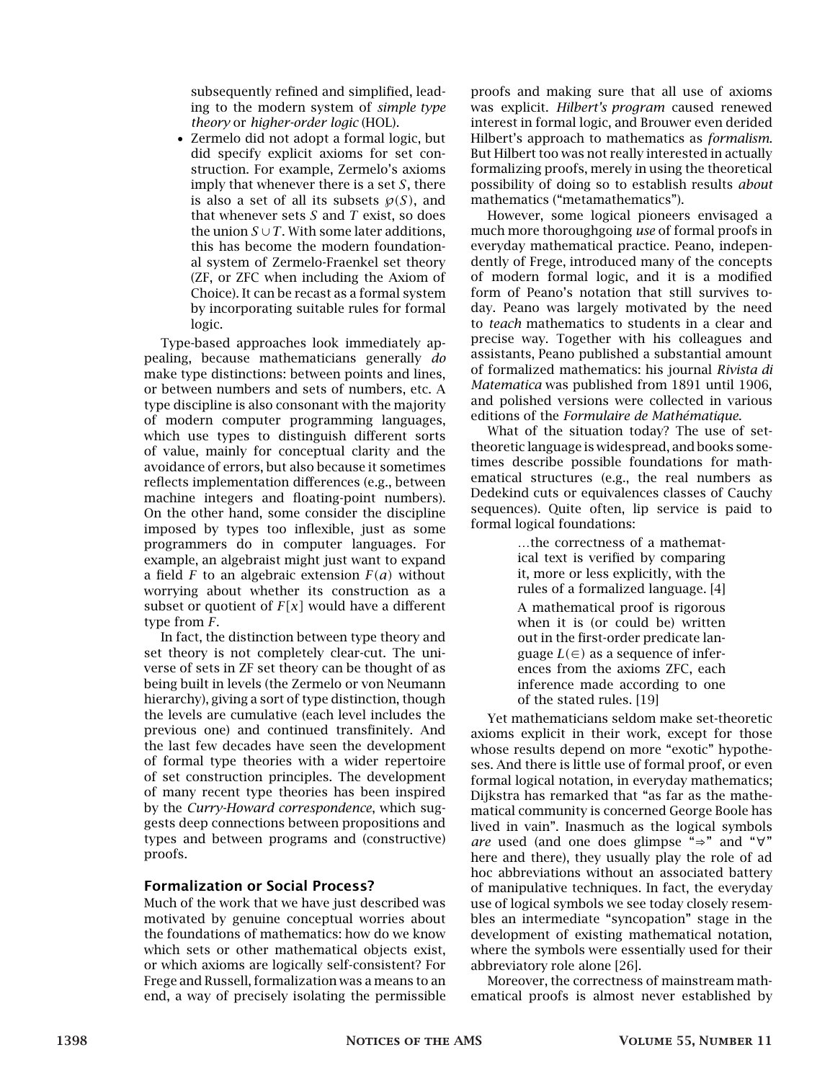subsequently refined and simplified, leading to the modern system of *simple type theory* or *higher-order logic* (HOL).

• Zermelo did not adopt a formal logic, but did specify explicit axioms for set construction. For example, Zermelo's axioms imply that whenever there is a set *S*, there is also a set of all its subsets  $\mathcal{P}(S)$ , and that whenever sets *S* and *T* exist, so does the union  $S \cup T$ . With some later additions, this has become the modern foundational system of Zermelo-Fraenkel set theory (ZF, or ZFC when including the Axiom of Choice). It can be recast as a formal system by incorporating suitable rules for formal logic.

Type-based approaches look immediately appealing, because mathematicians generally *do* make type distinctions: between points and lines, or between numbers and sets of numbers, etc. A type discipline is also consonant with the majority of modern computer programming languages, which use types to distinguish different sorts of value, mainly for conceptual clarity and the avoidance of errors, but also because it sometimes reflects implementation differences (e.g., between machine integers and floating-point numbers). On the other hand, some consider the discipline imposed by types too inflexible, just as some programmers do in computer languages. For example, an algebraist might just want to expand a field *F* to an algebraic extension *F(a)* without worrying about whether its construction as a subset or quotient of  $F[x]$  would have a different type from *F*.

In fact, the distinction between type theory and set theory is not completely clear-cut. The universe of sets in ZF set theory can be thought of as being built in levels (the Zermelo or von Neumann hierarchy), giving a sort of type distinction, though the levels are cumulative (each level includes the previous one) and continued transfinitely. And the last few decades have seen the development of formal type theories with a wider repertoire of set construction principles. The development of many recent type theories has been inspired by the *Curry-Howard correspondence*, which suggests deep connections between propositions and types and between programs and (constructive) proofs.

## Formalization or Social Process?

Much of the work that we have just described was motivated by genuine conceptual worries about the foundations of mathematics: how do we know which sets or other mathematical objects exist, or which axioms are logically self-consistent? For Frege and Russell, formalization was a means to an end, a way of precisely isolating the permissible proofs and making sure that all use of axioms was explicit. *Hilbert's program* caused renewed interest in formal logic, and Brouwer even derided Hilbert's approach to mathematics as *formalism*. But Hilbert too was not really interested in actually formalizing proofs, merely in using the theoretical possibility of doing so to establish results *about* mathematics ("metamathematics").

However, some logical pioneers envisaged a much more thoroughgoing *use* of formal proofs in everyday mathematical practice. Peano, independently of Frege, introduced many of the concepts of modern formal logic, and it is a modified form of Peano's notation that still survives today. Peano was largely motivated by the need to *teach* mathematics to students in a clear and precise way. Together with his colleagues and assistants, Peano published a substantial amount of formalized mathematics: his journal *Rivista di Matematica* was published from 1891 until 1906, and polished versions were collected in various editions of the *Formulaire de Mathématique*.

What of the situation today? The use of settheoretic language is widespread, and books sometimes describe possible foundations for mathematical structures (e.g., the real numbers as Dedekind cuts or equivalences classes of Cauchy sequences). Quite often, lip service is paid to formal logical foundations:

> …the correctness of a mathematical text is verified by comparing it, more or less explicitly, with the rules of a formalized language. [4] A mathematical proof is rigorous when it is (or could be) written out in the first-order predicate language  $L(\in)$  as a sequence of inferences from the axioms ZFC, each inference made according to one of the stated rules. [19]

Yet mathematicians seldom make set-theoretic axioms explicit in their work, except for those whose results depend on more "exotic" hypotheses. And there is little use of formal proof, or even formal logical notation, in everyday mathematics; Dijkstra has remarked that "as far as the mathematical community is concerned George Boole has lived in vain". Inasmuch as the logical symbols *are* used (and one does glimpse "⇒" and "∀" here and there), they usually play the role of ad hoc abbreviations without an associated battery of manipulative techniques. In fact, the everyday use of logical symbols we see today closely resembles an intermediate "syncopation" stage in the development of existing mathematical notation, where the symbols were essentially used for their abbreviatory role alone [26].

Moreover, the correctness of mainstream mathematical proofs is almost never established by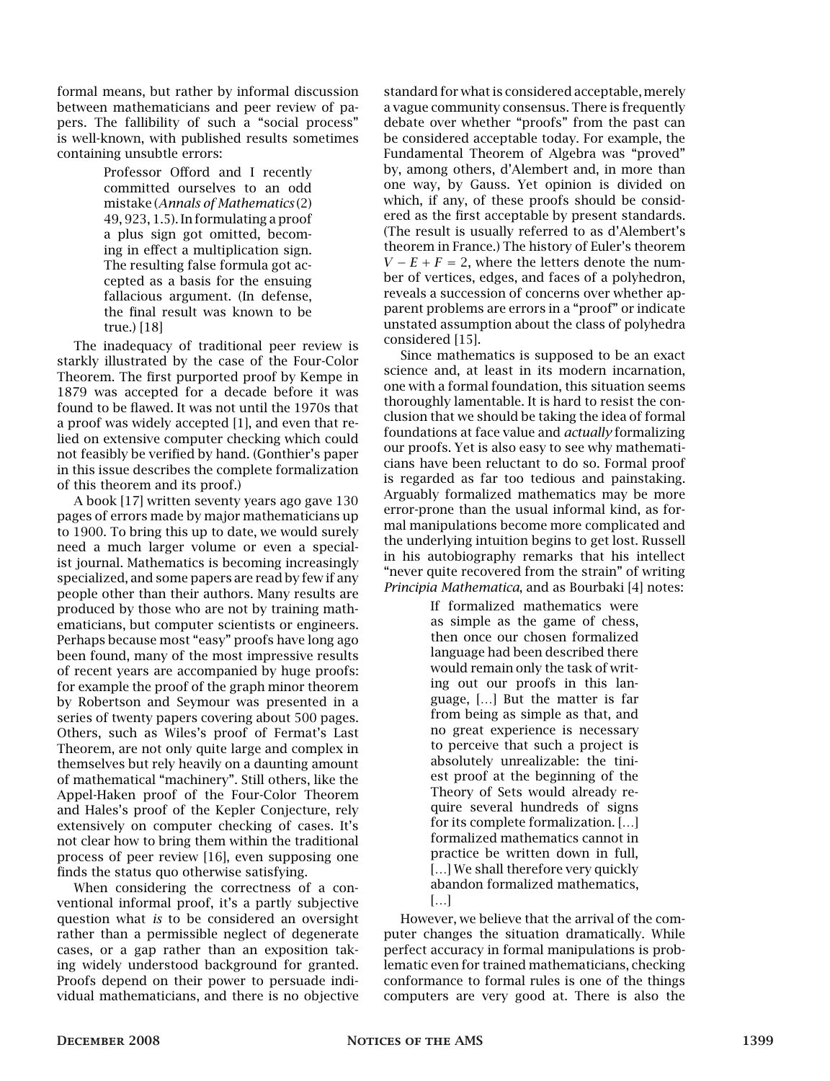formal means, but rather by informal discussion between mathematicians and peer review of papers. The fallibility of such a "social process" is well-known, with published results sometimes containing unsubtle errors:

> Professor Offord and I recently committed ourselves to an odd mistake (*Annals of Mathematics* (2) 49, 923, 1.5). In formulating a proof a plus sign got omitted, becoming in effect a multiplication sign. The resulting false formula got accepted as a basis for the ensuing fallacious argument. (In defense, the final result was known to be true.) [18]

The inadequacy of traditional peer review is starkly illustrated by the case of the Four-Color Theorem. The first purported proof by Kempe in 1879 was accepted for a decade before it was found to be flawed. It was not until the 1970s that a proof was widely accepted [1], and even that relied on extensive computer checking which could not feasibly be verified by hand. (Gonthier's paper in this issue describes the complete formalization of this theorem and its proof.)

A book [17] written seventy years ago gave 130 pages of errors made by major mathematicians up to 1900. To bring this up to date, we would surely need a much larger volume or even a specialist journal. Mathematics is becoming increasingly specialized, and some papers are read by few if any people other than their authors. Many results are produced by those who are not by training mathematicians, but computer scientists or engineers. Perhaps because most "easy" proofs have long ago been found, many of the most impressive results of recent years are accompanied by huge proofs: for example the proof of the graph minor theorem by Robertson and Seymour was presented in a series of twenty papers covering about 500 pages. Others, such as Wiles's proof of Fermat's Last Theorem, are not only quite large and complex in themselves but rely heavily on a daunting amount of mathematical "machinery". Still others, like the Appel-Haken proof of the Four-Color Theorem and Hales's proof of the Kepler Conjecture, rely extensively on computer checking of cases. It's not clear how to bring them within the traditional process of peer review [16], even supposing one finds the status quo otherwise satisfying.

When considering the correctness of a conventional informal proof, it's a partly subjective question what *is* to be considered an oversight rather than a permissible neglect of degenerate cases, or a gap rather than an exposition taking widely understood background for granted. Proofs depend on their power to persuade individual mathematicians, and there is no objective

standard for what is considered acceptable, merely a vague community consensus. There is frequently debate over whether "proofs" from the past can be considered acceptable today. For example, the Fundamental Theorem of Algebra was "proved" by, among others, d'Alembert and, in more than one way, by Gauss. Yet opinion is divided on which, if any, of these proofs should be considered as the first acceptable by present standards. (The result is usually referred to as d'Alembert's theorem in France.) The history of Euler's theorem  $V - E + F = 2$ , where the letters denote the number of vertices, edges, and faces of a polyhedron, reveals a succession of concerns over whether apparent problems are errors in a "proof" or indicate unstated assumption about the class of polyhedra considered [15].

Since mathematics is supposed to be an exact science and, at least in its modern incarnation, one with a formal foundation, this situation seems thoroughly lamentable. It is hard to resist the conclusion that we should be taking the idea of formal foundations at face value and *actually* formalizing our proofs. Yet is also easy to see why mathematicians have been reluctant to do so. Formal proof is regarded as far too tedious and painstaking. Arguably formalized mathematics may be more error-prone than the usual informal kind, as formal manipulations become more complicated and the underlying intuition begins to get lost. Russell in his autobiography remarks that his intellect "never quite recovered from the strain" of writing *Principia Mathematica*, and as Bourbaki [4] notes:

> If formalized mathematics were as simple as the game of chess, then once our chosen formalized language had been described there would remain only the task of writing out our proofs in this language, […] But the matter is far from being as simple as that, and no great experience is necessary to perceive that such a project is absolutely unrealizable: the tiniest proof at the beginning of the Theory of Sets would already require several hundreds of signs for its complete formalization. […] formalized mathematics cannot in practice be written down in full, [...] We shall therefore very quickly abandon formalized mathematics, […]

However, we believe that the arrival of the computer changes the situation dramatically. While perfect accuracy in formal manipulations is problematic even for trained mathematicians, checking conformance to formal rules is one of the things computers are very good at. There is also the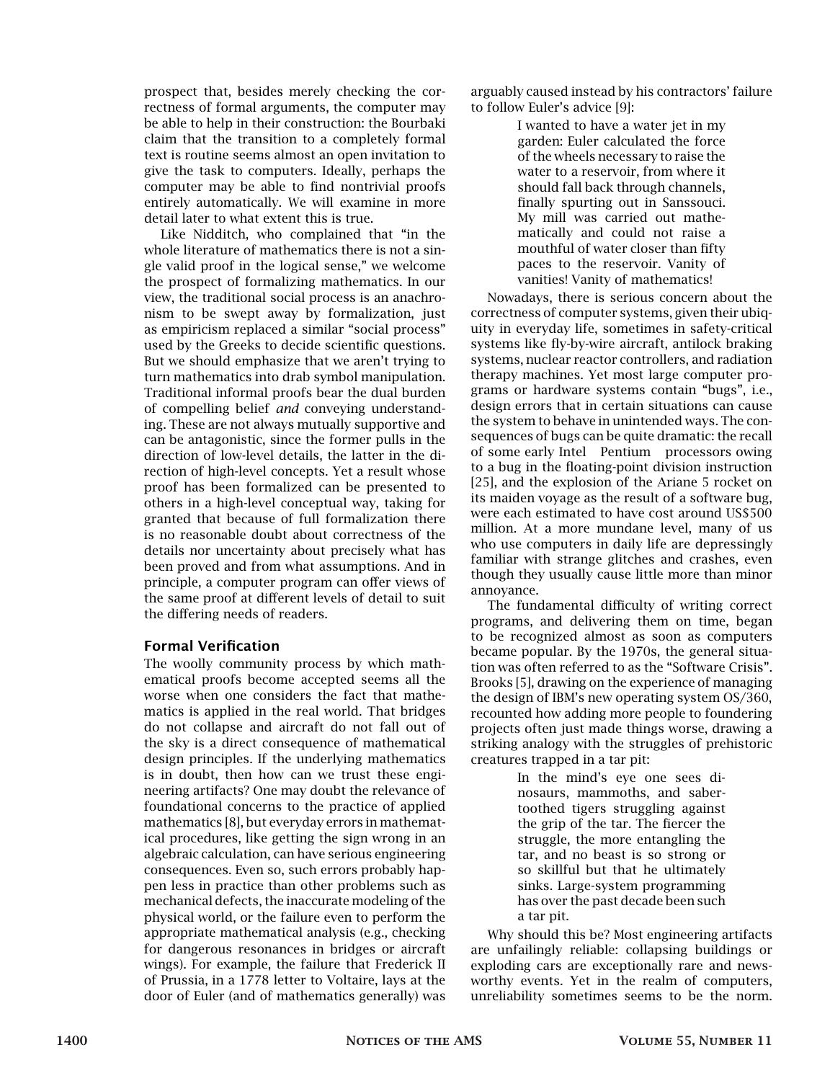prospect that, besides merely checking the correctness of formal arguments, the computer may be able to help in their construction: the Bourbaki claim that the transition to a completely formal text is routine seems almost an open invitation to give the task to computers. Ideally, perhaps the computer may be able to find nontrivial proofs entirely automatically. We will examine in more detail later to what extent this is true.

Like Nidditch, who complained that "in the whole literature of mathematics there is not a single valid proof in the logical sense," we welcome the prospect of formalizing mathematics. In our view, the traditional social process is an anachronism to be swept away by formalization, just as empiricism replaced a similar "social process" used by the Greeks to decide scientific questions. But we should emphasize that we aren't trying to turn mathematics into drab symbol manipulation. Traditional informal proofs bear the dual burden of compelling belief *and* conveying understanding. These are not always mutually supportive and can be antagonistic, since the former pulls in the direction of low-level details, the latter in the direction of high-level concepts. Yet a result whose proof has been formalized can be presented to others in a high-level conceptual way, taking for granted that because of full formalization there is no reasonable doubt about correctness of the details nor uncertainty about precisely what has been proved and from what assumptions. And in principle, a computer program can offer views of the same proof at different levels of detail to suit the differing needs of readers.

## Formal Verification

The woolly community process by which mathematical proofs become accepted seems all the worse when one considers the fact that mathematics is applied in the real world. That bridges do not collapse and aircraft do not fall out of the sky is a direct consequence of mathematical design principles. If the underlying mathematics is in doubt, then how can we trust these engineering artifacts? One may doubt the relevance of foundational concerns to the practice of applied mathematics [8], but everyday errors in mathematical procedures, like getting the sign wrong in an algebraic calculation, can have serious engineering consequences. Even so, such errors probably happen less in practice than other problems such as mechanical defects, the inaccurate modeling of the physical world, or the failure even to perform the appropriate mathematical analysis (e.g., checking for dangerous resonances in bridges or aircraft wings). For example, the failure that Frederick II of Prussia, in a 1778 letter to Voltaire, lays at the door of Euler (and of mathematics generally) was

arguably caused instead by his contractors' failure to follow Euler's advice [9]:

> I wanted to have a water jet in my garden: Euler calculated the force of the wheels necessary to raise the water to a reservoir, from where it should fall back through channels, finally spurting out in Sanssouci. My mill was carried out mathematically and could not raise a mouthful of water closer than fifty paces to the reservoir. Vanity of vanities! Vanity of mathematics!

Nowadays, there is serious concern about the correctness of computer systems, given their ubiquity in everyday life, sometimes in safety-critical systems like fly-by-wire aircraft, antilock braking systems, nuclear reactor controllers, and radiation therapy machines. Yet most large computer programs or hardware systems contain "bugs", i.e., design errors that in certain situations can cause the system to behave in unintended ways. The consequences of bugs can be quite dramatic: the recall of some early Intel® Pentium® processors owing to a bug in the floating-point division instruction [25], and the explosion of the Ariane 5 rocket on its maiden voyage as the result of a software bug, were each estimated to have cost around US\$500 million. At a more mundane level, many of us who use computers in daily life are depressingly familiar with strange glitches and crashes, even though they usually cause little more than minor annoyance.

The fundamental difficulty of writing correct programs, and delivering them on time, began to be recognized almost as soon as computers became popular. By the 1970s, the general situation was often referred to as the "Software Crisis". Brooks [5], drawing on the experience of managing the design of IBM's new operating system OS/360, recounted how adding more people to foundering projects often just made things worse, drawing a striking analogy with the struggles of prehistoric creatures trapped in a tar pit:

> In the mind's eye one sees dinosaurs, mammoths, and sabertoothed tigers struggling against the grip of the tar. The fiercer the struggle, the more entangling the tar, and no beast is so strong or so skillful but that he ultimately sinks. Large-system programming has over the past decade been such a tar pit.

Why should this be? Most engineering artifacts are unfailingly reliable: collapsing buildings or exploding cars are exceptionally rare and newsworthy events. Yet in the realm of computers, unreliability sometimes seems to be the norm.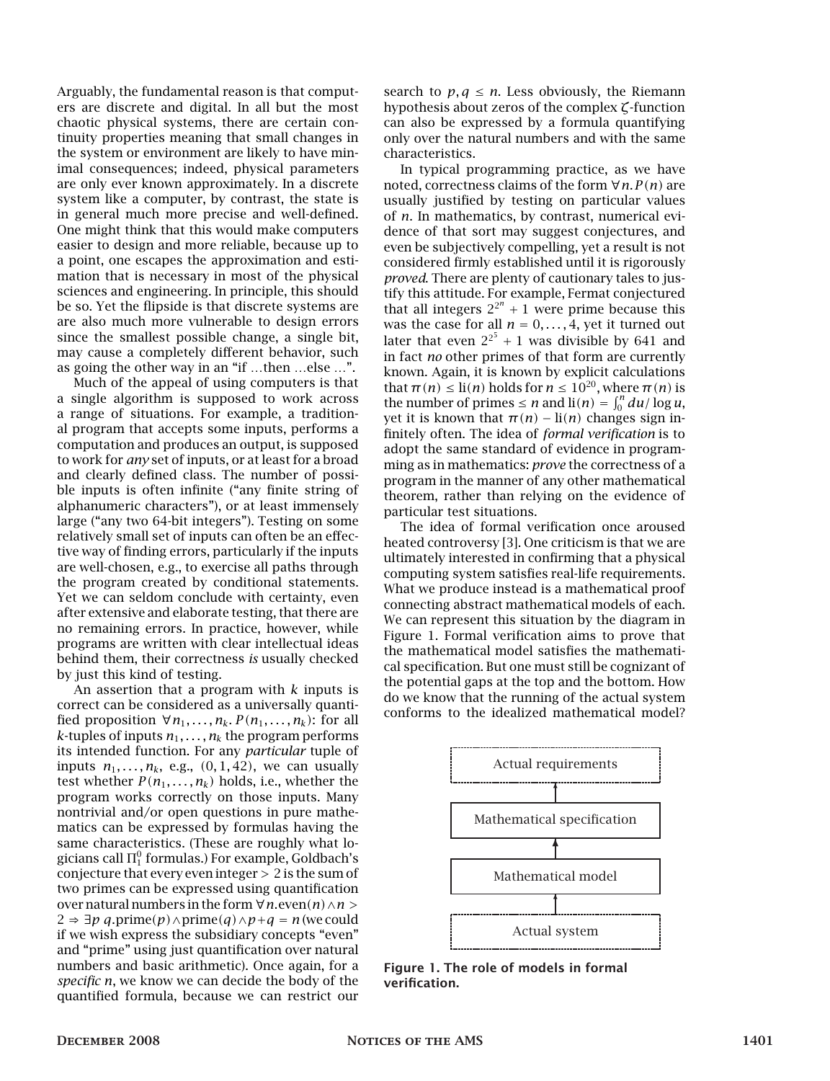Arguably, the fundamental reason is that computers are discrete and digital. In all but the most chaotic physical systems, there are certain continuity properties meaning that small changes in the system or environment are likely to have minimal consequences; indeed, physical parameters are only ever known approximately. In a discrete system like a computer, by contrast, the state is in general much more precise and well-defined. One might think that this would make computers easier to design and more reliable, because up to a point, one escapes the approximation and estimation that is necessary in most of the physical sciences and engineering. In principle, this should be so. Yet the flipside is that discrete systems are are also much more vulnerable to design errors since the smallest possible change, a single bit, may cause a completely different behavior, such as going the other way in an "if …then …else …".

Much of the appeal of using computers is that a single algorithm is supposed to work across a range of situations. For example, a traditional program that accepts some inputs, performs a computation and produces an output, is supposed to work for *any* set of inputs, or at least for a broad and clearly defined class. The number of possible inputs is often infinite ("any finite string of alphanumeric characters"), or at least immensely large ("any two 64-bit integers"). Testing on some relatively small set of inputs can often be an effective way of finding errors, particularly if the inputs are well-chosen, e.g., to exercise all paths through the program created by conditional statements. Yet we can seldom conclude with certainty, even after extensive and elaborate testing, that there are no remaining errors. In practice, however, while programs are written with clear intellectual ideas behind them, their correctness *is* usually checked by just this kind of testing.

An assertion that a program with *k* inputs is correct can be considered as a universally quantified proposition  $\forall n_1, \ldots, n_k$ .  $P(n_1, \ldots, n_k)$ : for all *k*-tuples of inputs  $n_1, \ldots, n_k$  the program performs its intended function. For any *particular* tuple of inputs  $n_1, \ldots, n_k$ , e.g.,  $(0, 1, 42)$ , we can usually test whether  $P(n_1, \ldots, n_k)$  holds, i.e., whether the program works correctly on those inputs. Many nontrivial and/or open questions in pure mathematics can be expressed by formulas having the same characteristics. (These are roughly what logicians call  $\Pi^0_1$  formulas.) For example, Goldbach's conjecture that every even integer *>* 2 is the sum of two primes can be expressed using quantification over natural numbers in the form ∀*n.*even*(n)*∧*n >* 2 ⇒  $\exists p \ q$ .prime(p)∧prime(q)∧p+ $q = n$  (we could if we wish express the subsidiary concepts "even" and "prime" using just quantification over natural numbers and basic arithmetic). Once again, for a *specific n*, we know we can decide the body of the quantified formula, because we can restrict our

search to  $p, q \leq n$ . Less obviously, the Riemann hypothesis about zeros of the complex *ζ*-function can also be expressed by a formula quantifying only over the natural numbers and with the same characteristics.

In typical programming practice, as we have noted, correctness claims of the form ∀*n.P (n)* are usually justified by testing on particular values of *n*. In mathematics, by contrast, numerical evidence of that sort may suggest conjectures, and even be subjectively compelling, yet a result is not considered firmly established until it is rigorously *proved*. There are plenty of cautionary tales to justify this attitude. For example, Fermat conjectured that all integers  $2^{2^n} + 1$  were prime because this was the case for all  $n = 0, \ldots, 4$ , yet it turned out later that even  $2^{2^5}$  + 1 was divisible by 641 and in fact *no* other primes of that form are currently known. Again, it is known by explicit calculations that  $\pi(n) \leq \text{li}(n)$  holds for  $n \leq 10^{20}$ , where  $\pi(n)$  is the number of primes  $\le n$  and  $\text{li}(n) = \int_0^n du/\log u$ , yet it is known that  $\pi(n) - \text{li}(n)$  changes sign infinitely often. The idea of *formal verification* is to adopt the same standard of evidence in programming as in mathematics: *prove* the correctness of a program in the manner of any other mathematical theorem, rather than relying on the evidence of particular test situations.

The idea of formal verification once aroused heated controversy [3]. One criticism is that we are ultimately interested in confirming that a physical computing system satisfies real-life requirements. What we produce instead is a mathematical proof connecting abstract mathematical models of each. We can represent this situation by the diagram in Figure 1. Formal verification aims to prove that the mathematical model satisfies the mathematical specification. But one must still be cognizant of the potential gaps at the top and the bottom. How do we know that the running of the actual system conforms to the idealized mathematical model?



Figure 1. The role of models in formal verification.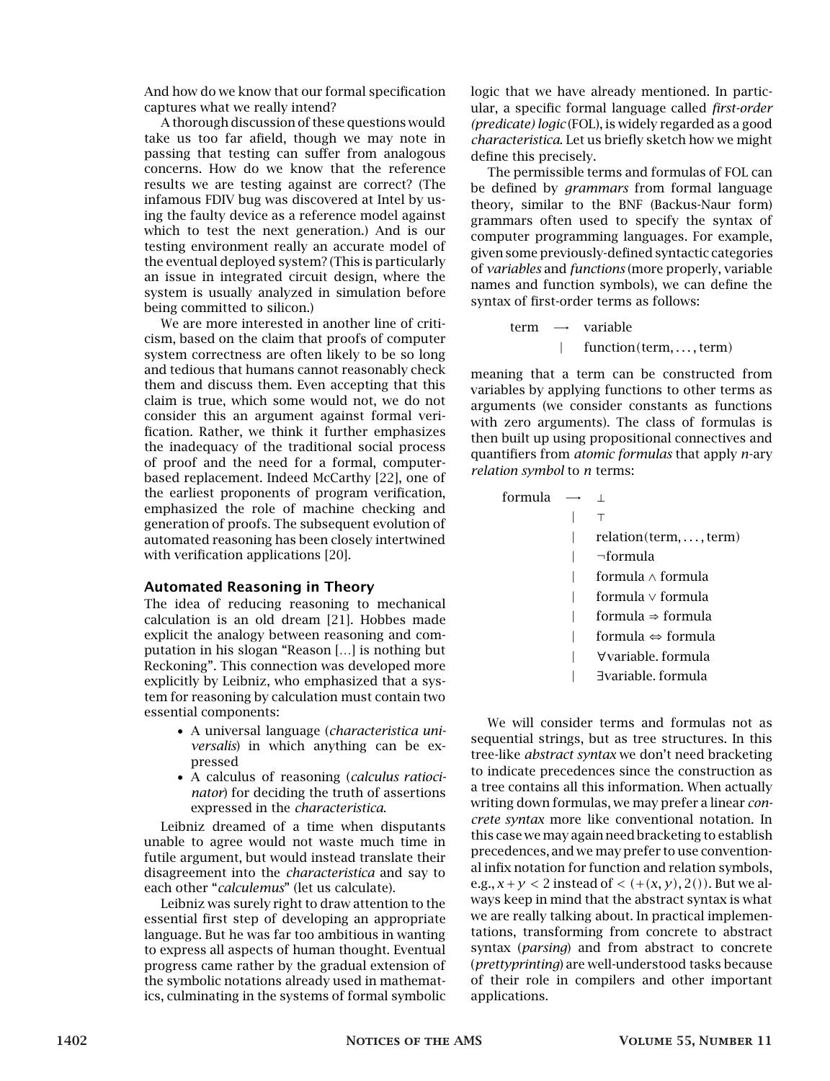And how do we know that our formal specification captures what we really intend?

A thorough discussion of these questions would take us too far afield, though we may note in passing that testing can suffer from analogous concerns. How do we know that the reference results we are testing against are correct? (The infamous FDIV bug was discovered at Intel by using the faulty device as a reference model against which to test the next generation.) And is our testing environment really an accurate model of the eventual deployed system? (This is particularly an issue in integrated circuit design, where the system is usually analyzed in simulation before being committed to silicon.)

We are more interested in another line of criticism, based on the claim that proofs of computer system correctness are often likely to be so long and tedious that humans cannot reasonably check them and discuss them. Even accepting that this claim is true, which some would not, we do not consider this an argument against formal verification. Rather, we think it further emphasizes the inadequacy of the traditional social process of proof and the need for a formal, computerbased replacement. Indeed McCarthy [22], one of the earliest proponents of program verification, emphasized the role of machine checking and generation of proofs. The subsequent evolution of automated reasoning has been closely intertwined with verification applications [20].

#### Automated Reasoning in Theory

The idea of reducing reasoning to mechanical calculation is an old dream [21]. Hobbes made explicit the analogy between reasoning and computation in his slogan "Reason […] is nothing but Reckoning". This connection was developed more explicitly by Leibniz, who emphasized that a system for reasoning by calculation must contain two essential components:

- A universal language (*characteristica universalis*) in which anything can be expressed
- A calculus of reasoning (*calculus ratiocinator*) for deciding the truth of assertions expressed in the *characteristica*.

Leibniz dreamed of a time when disputants unable to agree would not waste much time in futile argument, but would instead translate their disagreement into the *characteristica* and say to each other "*calculemus*" (let us calculate).

Leibniz was surely right to draw attention to the essential first step of developing an appropriate language. But he was far too ambitious in wanting to express all aspects of human thought. Eventual progress came rather by the gradual extension of the symbolic notations already used in mathematics, culminating in the systems of formal symbolic

logic that we have already mentioned. In particular, a specific formal language called *first-order (predicate) logic* (FOL), is widely regarded as a good *characteristica*. Let us briefly sketch how we might define this precisely.

The permissible terms and formulas of FOL can be defined by *grammars* from formal language theory, similar to the BNF (Backus-Naur form) grammars often used to specify the syntax of computer programming languages. For example, given some previously-defined syntactic categories of *variables* and *functions* (more properly, variable names and function symbols), we can define the syntax of first-order terms as follows:

$$
\begin{array}{rcl}\n\text{term} & \longrightarrow & \text{variable} \\
\downarrow & \text{function}(\text{term}, \dots, \text{term})\n\end{array}
$$

meaning that a term can be constructed from variables by applying functions to other terms as arguments (we consider constants as functions with zero arguments). The class of formulas is then built up using propositional connectives and quantifiers from *atomic formulas* that apply *n*-ary *relation symbol* to *n* terms:

| formula |                                   |
|---------|-----------------------------------|
|         |                                   |
|         | $relation(term, \ldots, term)$    |
|         | ¬formula                          |
|         | formula $\wedge$ formula          |
|         | formula $\vee$ formula            |
|         | formula $\Rightarrow$ formula     |
|         | formula $\Leftrightarrow$ formula |
|         | ∀variable. formula                |
|         | ∃variable. formula                |

We will consider terms and formulas not as sequential strings, but as tree structures. In this tree-like *abstract syntax* we don't need bracketing to indicate precedences since the construction as a tree contains all this information. When actually writing down formulas, we may prefer a linear *concrete syntax* more like conventional notation. In this case we may again need bracketing to establish precedences, and we may prefer to use conventional infix notation for function and relation symbols, e.g.,  $x + y < 2$  instead of  $\lt (+(x, y), 2))$ . But we always keep in mind that the abstract syntax is what we are really talking about. In practical implementations, transforming from concrete to abstract syntax (*parsing*) and from abstract to concrete (*prettyprinting*) are well-understood tasks because of their role in compilers and other important applications.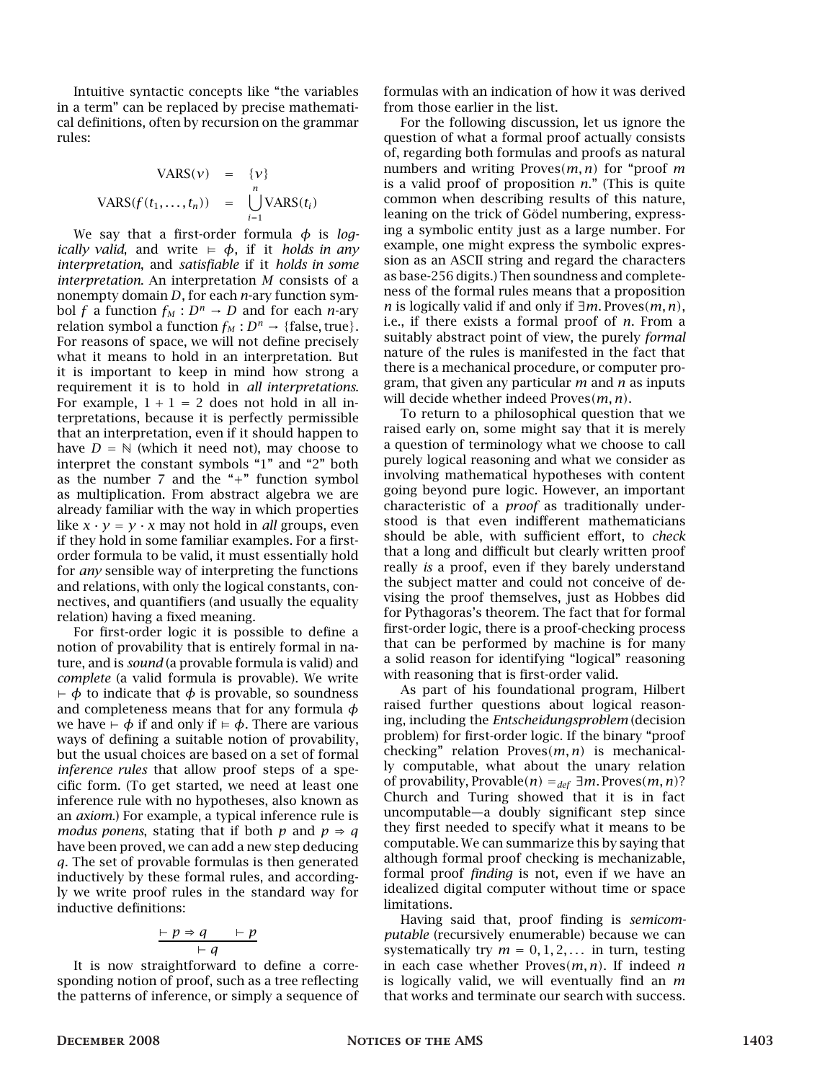Intuitive syntactic concepts like "the variables in a term" can be replaced by precise mathematical definitions, often by recursion on the grammar rules:

$$
VARS(v) = \{v\}
$$
  

$$
VARS(f(t_1,..., t_n)) = \bigcup_{i=1}^n VARS(t_i)
$$

We say that a first-order formula *φ* is *logically valid*, and write  $\models \phi$ , if it *holds in any interpretation*, and *satisfiable* if it *holds in some interpretation*. An interpretation *M* consists of a nonempty domain *D*, for each *n*-ary function symbol *f* a function  $f_M : D^n \to D$  and for each *n*-ary relation symbol a function  $f_M : D^n \to \{\text{false}, \text{true}\}.$ For reasons of space, we will not define precisely what it means to hold in an interpretation. But it is important to keep in mind how strong a requirement it is to hold in *all interpretations*. For example,  $1 + 1 = 2$  does not hold in all interpretations, because it is perfectly permissible that an interpretation, even if it should happen to have  $D = N$  (which it need not), may choose to interpret the constant symbols "1" and "2" both as the number 7 and the "+" function symbol as multiplication. From abstract algebra we are already familiar with the way in which properties like  $x \cdot y = y \cdot x$  may not hold in *all* groups, even if they hold in some familiar examples. For a firstorder formula to be valid, it must essentially hold for *any* sensible way of interpreting the functions and relations, with only the logical constants, connectives, and quantifiers (and usually the equality relation) having a fixed meaning.

For first-order logic it is possible to define a notion of provability that is entirely formal in nature, and is *sound* (a provable formula is valid) and *complete* (a valid formula is provable). We write  $\vdash \phi$  to indicate that  $\phi$  is provable, so soundness and completeness means that for any formula *φ* we have  $\vdash$  *φ* if and only if  $\models$  *φ*. There are various ways of defining a suitable notion of provability, but the usual choices are based on a set of formal *inference rules* that allow proof steps of a specific form. (To get started, we need at least one inference rule with no hypotheses, also known as an *axiom*.) For example, a typical inference rule is *modus ponens*, stating that if both *p* and  $p \Rightarrow q$ have been proved, we can add a new step deducing *q*. The set of provable formulas is then generated inductively by these formal rules, and accordingly we write proof rules in the standard way for inductive definitions:

$$
\frac{\vdash p \Rightarrow q \qquad \vdash p}{\vdash q}
$$

It is now straightforward to define a corresponding notion of proof, such as a tree reflecting the patterns of inference, or simply a sequence of

formulas with an indication of how it was derived from those earlier in the list.

For the following discussion, let us ignore the question of what a formal proof actually consists of, regarding both formulas and proofs as natural numbers and writing Proves*(m, n)* for "proof *m* is a valid proof of proposition *n*." (This is quite common when describing results of this nature, leaning on the trick of Gödel numbering, expressing a symbolic entity just as a large number. For example, one might express the symbolic expression as an ASCII string and regard the characters as base-256 digits.) Then soundness and completeness of the formal rules means that a proposition *n* is logically valid if and only if ∃*m.* Proves*(m, n)*, i.e., if there exists a formal proof of *n*. From a suitably abstract point of view, the purely *formal* nature of the rules is manifested in the fact that there is a mechanical procedure, or computer program, that given any particular *m* and *n* as inputs will decide whether indeed Proves*(m, n)*.

To return to a philosophical question that we raised early on, some might say that it is merely a question of terminology what we choose to call purely logical reasoning and what we consider as involving mathematical hypotheses with content going beyond pure logic. However, an important characteristic of a *proof* as traditionally understood is that even indifferent mathematicians should be able, with sufficient effort, to *check* that a long and difficult but clearly written proof really *is* a proof, even if they barely understand the subject matter and could not conceive of devising the proof themselves, just as Hobbes did for Pythagoras's theorem. The fact that for formal first-order logic, there is a proof-checking process that can be performed by machine is for many a solid reason for identifying "logical" reasoning with reasoning that is first-order valid.

As part of his foundational program, Hilbert raised further questions about logical reasoning, including the *Entscheidungsproblem* (decision problem) for first-order logic. If the binary "proof checking" relation Proves*(m, n)* is mechanically computable, what about the unary relation of provability, Provable*(n)* =*def* ∃*m.* Proves*(m, n)*? Church and Turing showed that it is in fact uncomputable—a doubly significant step since they first needed to specify what it means to be computable. We can summarize this by saying that although formal proof checking is mechanizable, formal proof *finding* is not, even if we have an idealized digital computer without time or space limitations.

Having said that, proof finding is *semicomputable* (recursively enumerable) because we can systematically try  $m = 0, 1, 2, \ldots$  in turn, testing in each case whether Proves*(m, n)*. If indeed *n* is logically valid, we will eventually find an *m* that works and terminate our search with success.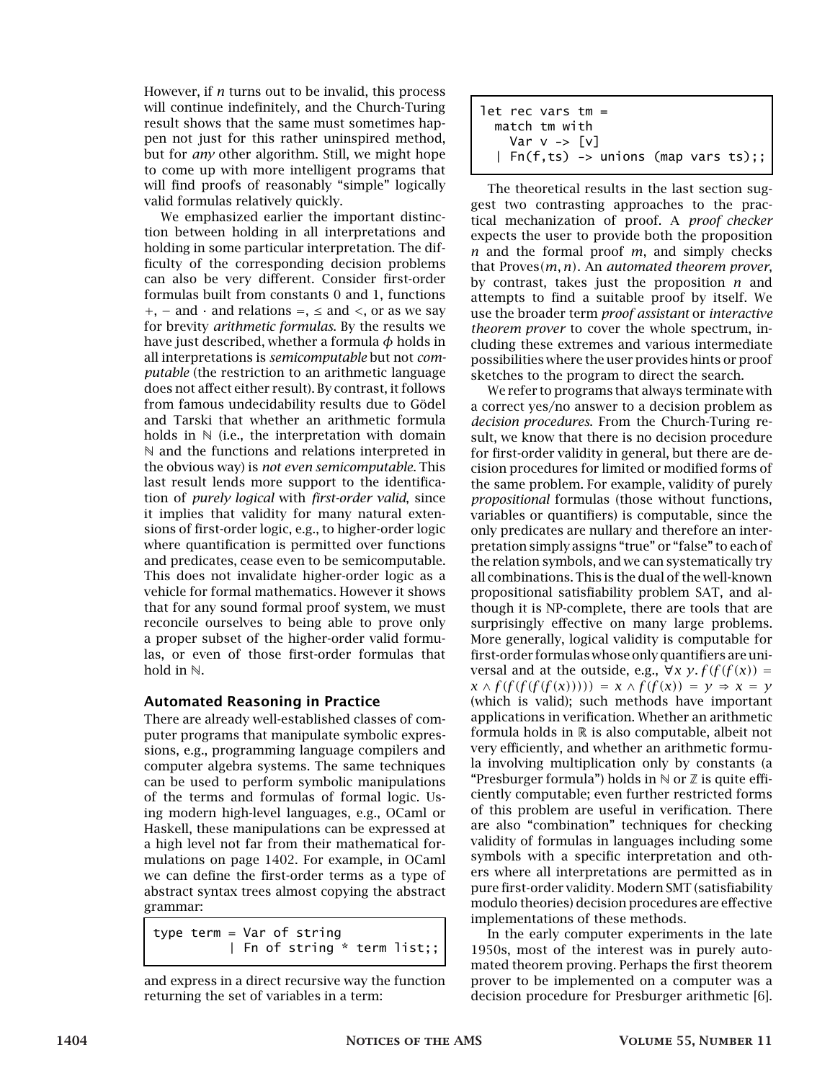However, if *n* turns out to be invalid, this process will continue indefinitely, and the Church-Turing result shows that the same must sometimes happen not just for this rather uninspired method, but for *any* other algorithm. Still, we might hope to come up with more intelligent programs that will find proofs of reasonably "simple" logically valid formulas relatively quickly.

We emphasized earlier the important distinction between holding in all interpretations and holding in some particular interpretation. The difficulty of the corresponding decision problems can also be very different. Consider first-order formulas built from constants 0 and 1, functions +, − and · and relations =, ≤ and *<*, or as we say for brevity *arithmetic formulas*. By the results we have just described, whether a formula *φ* holds in all interpretations is *semicomputable* but not *computable* (the restriction to an arithmetic language does not affect either result). By contrast, it follows from famous undecidability results due to Gödel and Tarski that whether an arithmetic formula holds in  $\mathbb N$  (i.e., the interpretation with domain N and the functions and relations interpreted in the obvious way) is *not even semicomputable*. This last result lends more support to the identification of *purely logical* with *first-order valid*, since it implies that validity for many natural extensions of first-order logic, e.g., to higher-order logic where quantification is permitted over functions and predicates, cease even to be semicomputable. This does not invalidate higher-order logic as a vehicle for formal mathematics. However it shows that for any sound formal proof system, we must reconcile ourselves to being able to prove only a proper subset of the higher-order valid formulas, or even of those first-order formulas that hold in N.

## Automated Reasoning in Practice

There are already well-established classes of computer programs that manipulate symbolic expressions, e.g., programming language compilers and computer algebra systems. The same techniques can be used to perform symbolic manipulations of the terms and formulas of formal logic. Using modern high-level languages, e.g., OCaml or Haskell, these manipulations can be expressed at a high level not far from their mathematical formulations on page 1402. For example, in OCaml we can define the first-order terms as a type of abstract syntax trees almost copying the abstract grammar:

type term = Var of string | Fn of string \* term list;;



```
let rec vars tm =match tm with
    Var v -> [v]
  | Fn(f,ts) -> unions (map vars ts);;
```
The theoretical results in the last section suggest two contrasting approaches to the practical mechanization of proof. A *proof checker* expects the user to provide both the proposition *n* and the formal proof *m*, and simply checks that Proves*(m, n)*. An *automated theorem prover*, by contrast, takes just the proposition *n* and attempts to find a suitable proof by itself. We use the broader term *proof assistant* or *interactive theorem prover* to cover the whole spectrum, including these extremes and various intermediate possibilities where the user provides hints or proof sketches to the program to direct the search.

We refer to programs that always terminate with a correct yes/no answer to a decision problem as *decision procedures*. From the Church-Turing result, we know that there is no decision procedure for first-order validity in general, but there are decision procedures for limited or modified forms of the same problem. For example, validity of purely *propositional* formulas (those without functions, variables or quantifiers) is computable, since the only predicates are nullary and therefore an interpretation simply assigns "true" or "false" to each of the relation symbols, and we can systematically try all combinations. This is the dual of the well-known propositional satisfiability problem SAT, and although it is NP-complete, there are tools that are surprisingly effective on many large problems. More generally, logical validity is computable for first-order formulas whose only quantifiers are universal and at the outside, e.g.,  $\forall x \, y. f(f(f(x))) =$  $\chi \wedge f(f(f(f(f(x)))) = \chi \wedge f(f(x)) = y \Rightarrow x = y$ (which is valid); such methods have important applications in verification. Whether an arithmetic formula holds in  $R$  is also computable, albeit not very efficiently, and whether an arithmetic formula involving multiplication only by constants (a "Presburger formula") holds in  $\mathbb N$  or  $\mathbb Z$  is quite efficiently computable; even further restricted forms of this problem are useful in verification. There are also "combination" techniques for checking validity of formulas in languages including some symbols with a specific interpretation and others where all interpretations are permitted as in pure first-order validity. Modern SMT (satisfiability modulo theories) decision procedures are effective implementations of these methods.

In the early computer experiments in the late 1950s, most of the interest was in purely automated theorem proving. Perhaps the first theorem prover to be implemented on a computer was a decision procedure for Presburger arithmetic [6].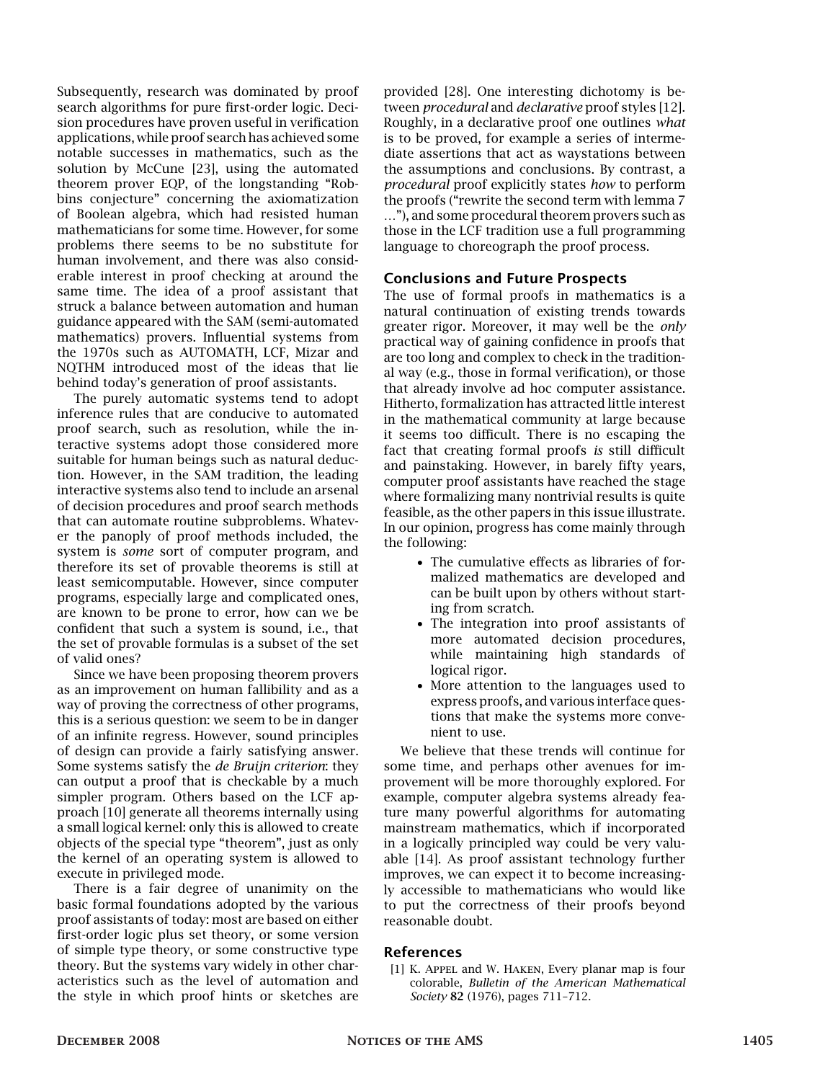Subsequently, research was dominated by proof search algorithms for pure first-order logic. Decision procedures have proven useful in verification applications, while proof search has achieved some notable successes in mathematics, such as the solution by McCune [23], using the automated theorem prover EQP, of the longstanding "Robbins conjecture" concerning the axiomatization of Boolean algebra, which had resisted human mathematicians for some time. However, for some problems there seems to be no substitute for human involvement, and there was also considerable interest in proof checking at around the same time. The idea of a proof assistant that struck a balance between automation and human guidance appeared with the SAM (semi-automated mathematics) provers. Influential systems from the 1970s such as AUTOMATH, LCF, Mizar and NQTHM introduced most of the ideas that lie behind today's generation of proof assistants.

The purely automatic systems tend to adopt inference rules that are conducive to automated proof search, such as resolution, while the interactive systems adopt those considered more suitable for human beings such as natural deduction. However, in the SAM tradition, the leading interactive systems also tend to include an arsenal of decision procedures and proof search methods that can automate routine subproblems. Whatever the panoply of proof methods included, the system is *some* sort of computer program, and therefore its set of provable theorems is still at least semicomputable. However, since computer programs, especially large and complicated ones, are known to be prone to error, how can we be confident that such a system is sound, i.e., that the set of provable formulas is a subset of the set of valid ones?

Since we have been proposing theorem provers as an improvement on human fallibility and as a way of proving the correctness of other programs, this is a serious question: we seem to be in danger of an infinite regress. However, sound principles of design can provide a fairly satisfying answer. Some systems satisfy the *de Bruijn criterion*: they can output a proof that is checkable by a much simpler program. Others based on the LCF approach [10] generate all theorems internally using a small logical kernel: only this is allowed to create objects of the special type "theorem", just as only the kernel of an operating system is allowed to execute in privileged mode.

There is a fair degree of unanimity on the basic formal foundations adopted by the various proof assistants of today: most are based on either first-order logic plus set theory, or some version of simple type theory, or some constructive type theory. But the systems vary widely in other characteristics such as the level of automation and the style in which proof hints or sketches are provided [28]. One interesting dichotomy is between *procedural* and *declarative* proof styles [12]. Roughly, in a declarative proof one outlines *what* is to be proved, for example a series of intermediate assertions that act as waystations between the assumptions and conclusions. By contrast, a *procedural* proof explicitly states *how* to perform the proofs ("rewrite the second term with lemma 7 …"), and some procedural theorem provers such as those in the LCF tradition use a full programming language to choreograph the proof process.

#### Conclusions and Future Prospects

The use of formal proofs in mathematics is a natural continuation of existing trends towards greater rigor. Moreover, it may well be the *only* practical way of gaining confidence in proofs that are too long and complex to check in the traditional way (e.g., those in formal verification), or those that already involve ad hoc computer assistance. Hitherto, formalization has attracted little interest in the mathematical community at large because it seems too difficult. There is no escaping the fact that creating formal proofs *is* still difficult and painstaking. However, in barely fifty years, computer proof assistants have reached the stage where formalizing many nontrivial results is quite feasible, as the other papers in this issue illustrate. In our opinion, progress has come mainly through the following:

- The cumulative effects as libraries of formalized mathematics are developed and can be built upon by others without starting from scratch.
- The integration into proof assistants of more automated decision procedures, while maintaining high standards of logical rigor.
- More attention to the languages used to express proofs, and various interface questions that make the systems more convenient to use.

We believe that these trends will continue for some time, and perhaps other avenues for improvement will be more thoroughly explored. For example, computer algebra systems already feature many powerful algorithms for automating mainstream mathematics, which if incorporated in a logically principled way could be very valuable [14]. As proof assistant technology further improves, we can expect it to become increasingly accessible to mathematicians who would like to put the correctness of their proofs beyond reasonable doubt.

## References

[1] K. Appel and W. Haken, Every planar map is four colorable, *Bulletin of the American Mathematical Society* 82 (1976), pages 711–712.